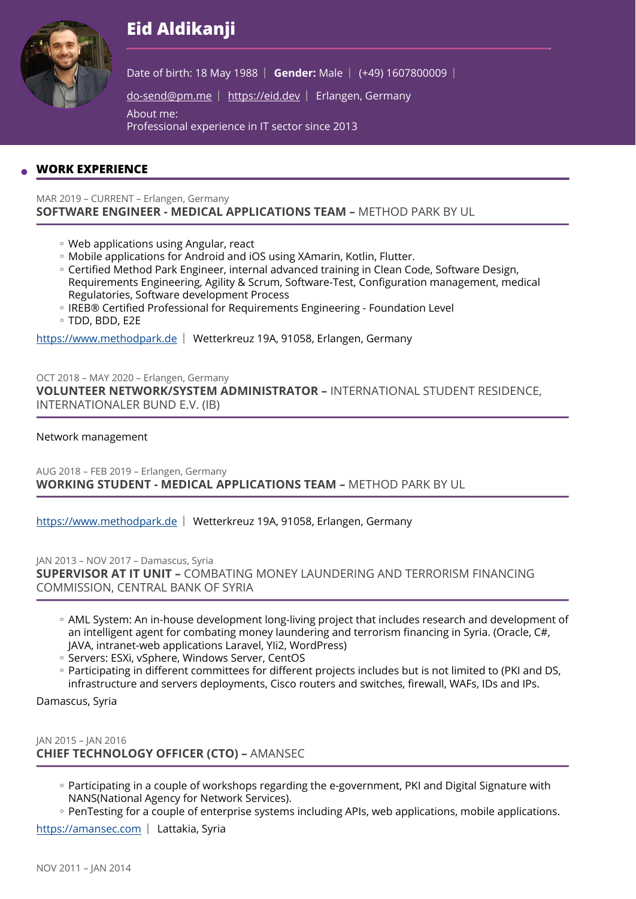# **Eid Aldikanji**



Date of birth: 18 May 1988 | Gender: Male | (+49) 1607800009 |

[do-send@pm.me](mailto:do-send@pm.me) | <https://eid.dev>| Erlangen, Germany

About me:

Professional experience in IT sector since 2013

# **WORK EXPERIENCE**

#### MAR 2019 – CURRENT – Erlangen, Germany **SOFTWARE ENGINEER - MEDICAL APPLICATIONS TEAM –** METHOD PARK BY UL

- Web applications using Angular, react ◦
- Mobile applications for Android and iOS using XAmarin, Kotlin, Flutter. ◦
- Certified Method Park Engineer, internal advanced training in Clean Code, Software Design, Requirements Engineering, Agility & Scrum, Software-Test, Configuration management, medical Regulatories, Software development Process
- IREB® Certified Professional for Requirements Engineering Foundation Level TDD, BDD, E2E ◦

<https://www.methodpark.de>| Wetterkreuz 19A, 91058, Erlangen, Germany

OCT 2018 – MAY 2020 – Erlangen, Germany **VOLUNTEER NETWORK/SYSTEM ADMINISTRATOR –** INTERNATIONAL STUDENT RESIDENCE, INTERNATIONALER BUND E.V. (IB)

## Network management

AUG 2018 – FEB 2019 – Erlangen, Germany **WORKING STUDENT - MEDICAL APPLICATIONS TEAM –** METHOD PARK BY UL

<https://www.methodpark.de>| Wetterkreuz 19A, 91058, Erlangen, Germany

JAN 2013 – NOV 2017 – Damascus, Syria **SUPERVISOR AT IT UNIT –** COMBATING MONEY LAUNDERING AND TERRORISM FINANCING COMMISSION, CENTRAL BANK OF SYRIA

- AML System: An in-house development long-living project that includes research and development of an intelligent agent for combating money laundering and terrorism financing in Syria. (Oracle, C#, JAVA, intranet-web applications Laravel, YIi2, WordPress)
- Servers: ESXi, vSphere, Windows Server, CentOS
- Participating in different committees for different projects includes but is not limited to (PKI and DS, infrastructure and servers deployments, Cisco routers and switches, firewall, WAFs, IDs and IPs.

Damascus, Syria

JAN 2015 – JAN 2016 **CHIEF TECHNOLOGY OFFICER (CTO) –** AMANSEC

- Participating in a couple of workshops regarding the e-government, PKI and Digital Signature with NANS(National Agency for Network Services).
- PenTesting for a couple of enterprise systems including APIs, web applications, mobile applications.

<https://amansec.com> | Lattakia, Syria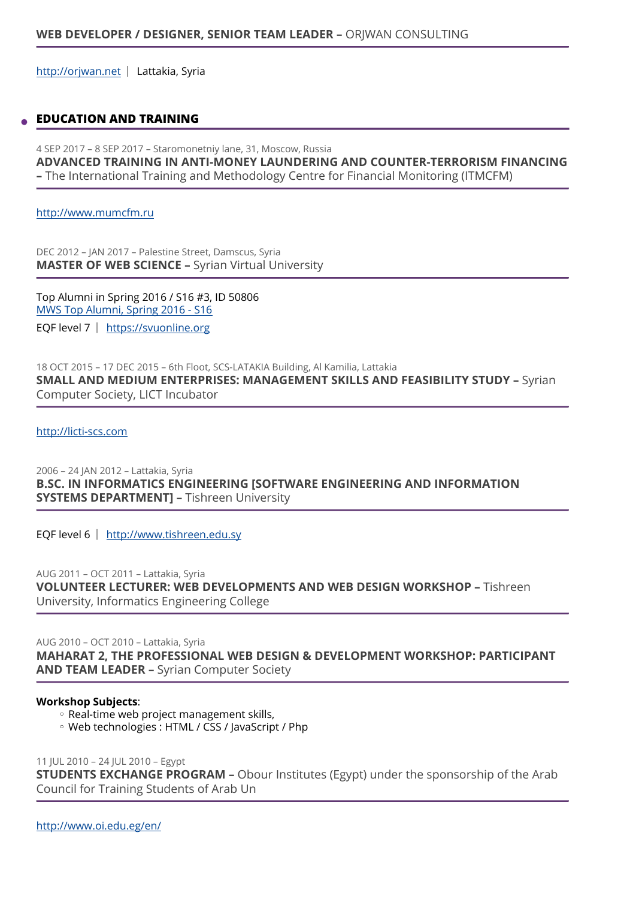<http://orjwan.net> | Lattakia, Syria

## **EDUCATION AND TRAINING**

4 SEP 2017 – 8 SEP 2017 – Staromonetniy lane, 31, Moscow, Russia **ADVANCED TRAINING IN ANTI-MONEY LAUNDERING AND COUNTER-TERRORISM FINANCING –** The International Training and Methodology Centre for Financial Monitoring (ITMCFM)

<http://www.mumcfm.ru>

DEC 2012 – JAN 2017 – Palestine Street, Damscus, Syria **MASTER OF WEB SCIENCE –** Syrian Virtual University

Top Alumni in Spring 2016 / S16 #3, ID 50806 [MWS Top Alumni, Spring 2016 - S16](https://svuonline.org/en/Top%20Alumni) EQF level 7 | https://svuonline.org

18 OCT 2015 – 17 DEC 2015 – 6th Floot, SCS-LATAKIA Building, Al Kamilia, Lattakia **SMALL AND MEDIUM ENTERPRISES: MANAGEMENT SKILLS AND FEASIBILITY STUDY –** Syrian Computer Society, LICT Incubator

<http://licti-scs.com>

2006 – 24 JAN 2012 – Lattakia, Syria **B.SC. IN INFORMATICS ENGINEERING [SOFTWARE ENGINEERING AND INFORMATION SYSTEMS DEPARTMENT] –** Tishreen University

EQF level 6 | http://www.tishreen.edu.sy

AUG 2011 – OCT 2011 – Lattakia, Syria **VOLUNTEER LECTURER: WEB DEVELOPMENTS AND WEB DESIGN WORKSHOP –** Tishreen University, Informatics Engineering College

AUG 2010 – OCT 2010 – Lattakia, Syria **MAHARAT 2, THE PROFESSIONAL WEB DESIGN & DEVELOPMENT WORKSHOP: PARTICIPANT AND TEAM LEADER –** Syrian Computer Society

#### **Workshop Subjects**:

- Real-time web project management skills, ◦
- Web technologies : HTML / CSS / JavaScript / Php ◦

11 JUL 2010 – 24 JUL 2010 – Egypt

**STUDENTS EXCHANGE PROGRAM –** Obour Institutes (Egypt) under the sponsorship of the Arab Council for Training Students of Arab Un

<http://www.oi.edu.eg/en/>